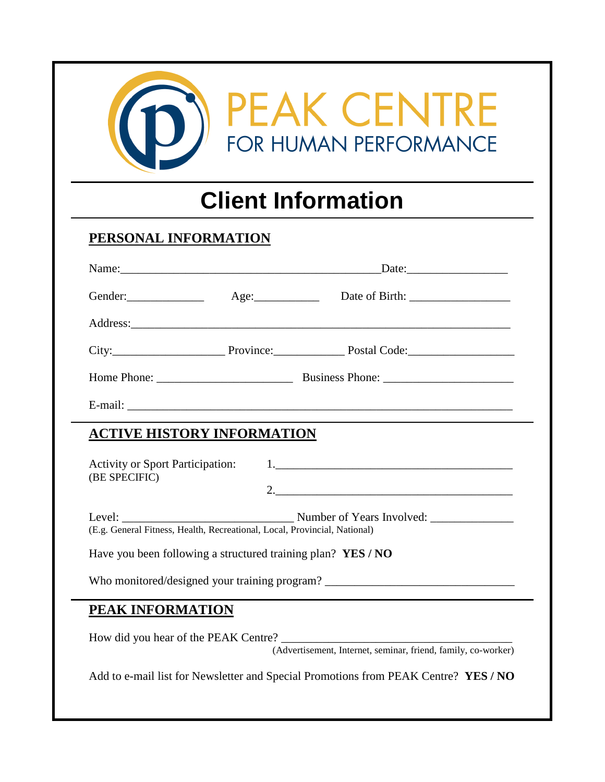| <b>PEAK CENTRE</b><br>FOR HUMAN PERFORMANCE<br><b>Client Information</b> |                                                              |                                                                                                       |
|--------------------------------------------------------------------------|--------------------------------------------------------------|-------------------------------------------------------------------------------------------------------|
|                                                                          |                                                              |                                                                                                       |
|                                                                          |                                                              |                                                                                                       |
|                                                                          |                                                              | Gender: Age: Age: Date of Birth: _____________                                                        |
|                                                                          |                                                              |                                                                                                       |
|                                                                          |                                                              | City: City: Province: Province: Postal Code:                                                          |
|                                                                          |                                                              |                                                                                                       |
|                                                                          |                                                              |                                                                                                       |
|                                                                          | <b>ACTIVE HISTORY INFORMATION</b>                            |                                                                                                       |
| <b>Activity or Sport Participation:</b><br>(BE SPECIFIC)                 | 2.                                                           |                                                                                                       |
| Level:                                                                   |                                                              |                                                                                                       |
|                                                                          | Have you been following a structured training plan? YES / NO |                                                                                                       |
|                                                                          |                                                              | Who monitored/designed your training program? __________________________________                      |
| PEAK INFORMATION                                                         |                                                              |                                                                                                       |
|                                                                          |                                                              | How did you hear of the PEAK Centre?<br>(Advertisement, Internet, seminar, friend, family, co-worker) |